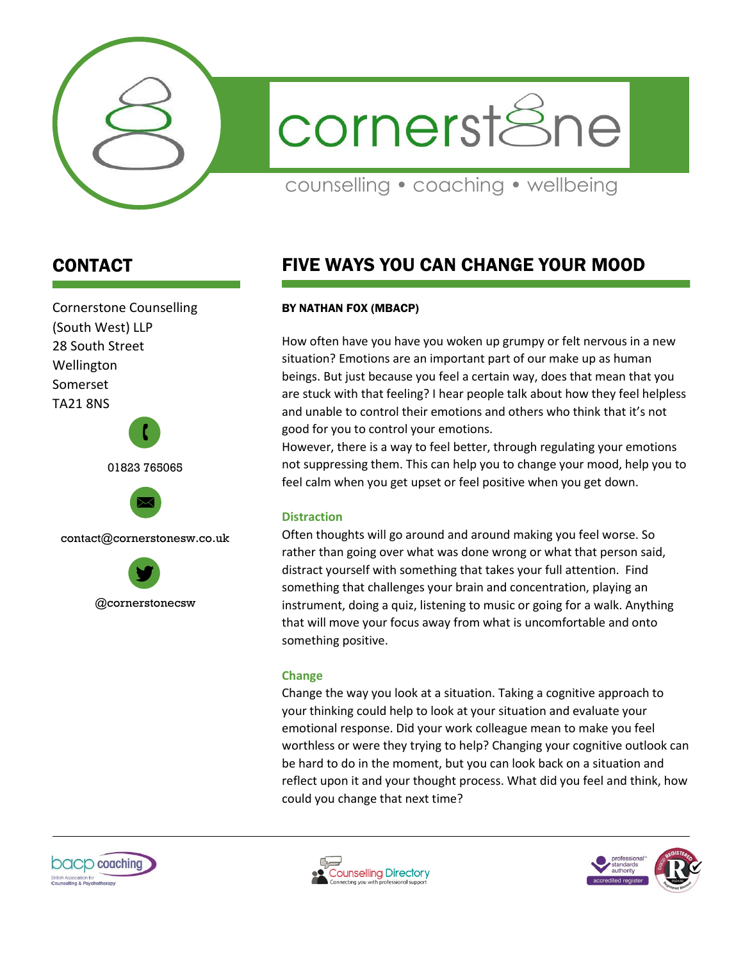

cornerstSne

counselling • coaching • wellbeing

## CONTACT

Cornerstone Counselling (South West) LLP 28 South Street Wellington Somerset TA21 8NS





contact@cornerstonesw.co.uk



# FIVE WAYS YOU CAN CHANGE YOUR MOOD

#### BY NATHAN FOX (MBACP)

How often have you have you woken up grumpy or felt nervous in a new situation? Emotions are an important part of our make up as human beings. But just because you feel a certain way, does that mean that you are stuck with that feeling? I hear people talk about how they feel helpless and unable to control their emotions and others who think that it's not good for you to control your emotions.

However, there is a way to feel better, through regulating your emotions not suppressing them. This can help you to change your mood, help you to feel calm when you get upset or feel positive when you get down.

### **Distraction**

Often thoughts will go around and around making you feel worse. So rather than going over what was done wrong or what that person said, distract yourself with something that takes your full attention. Find something that challenges your brain and concentration, playing an instrument, doing a quiz, listening to music or going for a walk. Anything that will move your focus away from what is uncomfortable and onto something positive.

#### **Change**

Change the way you look at a situation. Taking a cognitive approach to your thinking could help to look at your situation and evaluate your emotional response. Did your work colleague mean to make you feel worthless or were they trying to help? Changing your cognitive outlook can be hard to do in the moment, but you can look back on a situation and reflect upon it and your thought process. What did you feel and think, how could you change that next time?